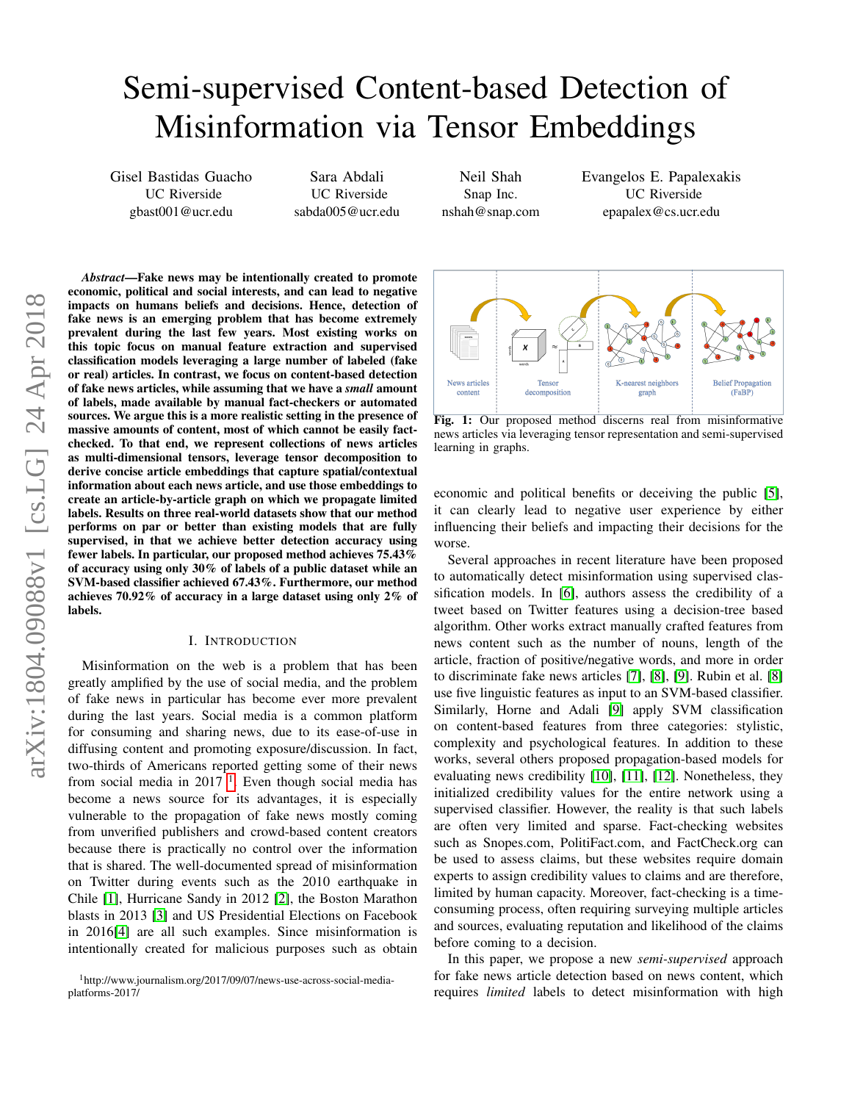# Semi-supervised Content-based Detection of Misinformation via Tensor Embeddings

Gisel Bastidas Guacho UC Riverside gbast001@ucr.edu

Sara Abdali UC Riverside sabda005@ucr.edu

Neil Shah Snap Inc. nshah@snap.com Evangelos E. Papalexakis UC Riverside epapalex@cs.ucr.edu

*Abstract*—Fake news may be intentionally created to promote economic, political and social interests, and can lead to negative impacts on humans beliefs and decisions. Hence, detection of fake news is an emerging problem that has become extremely prevalent during the last few years. Most existing works on this topic focus on manual feature extraction and supervised classification models leveraging a large number of labeled (fake or real) articles. In contrast, we focus on content-based detection of fake news articles, while assuming that we have a *small* amount of labels, made available by manual fact-checkers or automated sources. We argue this is a more realistic setting in the presence of massive amounts of content, most of which cannot be easily factchecked. To that end, we represent collections of news articles as multi-dimensional tensors, leverage tensor decomposition to derive concise article embeddings that capture spatial/contextual information about each news article, and use those embeddings to create an article-by-article graph on which we propagate limited labels. Results on three real-world datasets show that our method performs on par or better than existing models that are fully supervised, in that we achieve better detection accuracy using fewer labels. In particular, our proposed method achieves 75.43% of accuracy using only 30% of labels of a public dataset while an SVM-based classifier achieved 67.43%. Furthermore, our method achieves 70.92% of accuracy in a large dataset using only 2% of labels.

# I. INTRODUCTION

Misinformation on the web is a problem that has been greatly amplified by the use of social media, and the problem of fake news in particular has become ever more prevalent during the last years. Social media is a common platform for consuming and sharing news, due to its ease-of-use in diffusing content and promoting exposure/discussion. In fact, two-thirds of Americans reported getting some of their news from social media in  $2017<sup>-1</sup>$  $2017<sup>-1</sup>$  $2017<sup>-1</sup>$ . Even though social media has become a news source for its advantages, it is especially vulnerable to the propagation of fake news mostly coming from unverified publishers and crowd-based content creators because there is practically no control over the information that is shared. The well-documented spread of misinformation on Twitter during events such as the 2010 earthquake in Chile [\[1\]](#page-7-0), Hurricane Sandy in 2012 [\[2\]](#page-7-1), the Boston Marathon blasts in 2013 [\[3\]](#page-7-2) and US Presidential Elections on Facebook in 2016[\[4\]](#page-7-3) are all such examples. Since misinformation is intentionally created for malicious purposes such as obtain

<span id="page-0-1"></span>

Fig. 1: Our proposed method discerns real from misinformative news articles via leveraging tensor representation and semi-supervised learning in graphs.

economic and political benefits or deceiving the public [\[5\]](#page-7-4), it can clearly lead to negative user experience by either influencing their beliefs and impacting their decisions for the worse.

Several approaches in recent literature have been proposed to automatically detect misinformation using supervised classification models. In [\[6\]](#page-7-5), authors assess the credibility of a tweet based on Twitter features using a decision-tree based algorithm. Other works extract manually crafted features from news content such as the number of nouns, length of the article, fraction of positive/negative words, and more in order to discriminate fake news articles [\[7\]](#page-7-6), [\[8\]](#page-7-7), [\[9\]](#page-7-8). Rubin et al. [\[8\]](#page-7-7) use five linguistic features as input to an SVM-based classifier. Similarly, Horne and Adali [\[9\]](#page-7-8) apply SVM classification on content-based features from three categories: stylistic, complexity and psychological features. In addition to these works, several others proposed propagation-based models for evaluating news credibility [\[10\]](#page-7-9), [\[11\]](#page-7-10), [\[12\]](#page-7-11). Nonetheless, they initialized credibility values for the entire network using a supervised classifier. However, the reality is that such labels are often very limited and sparse. Fact-checking websites such as Snopes.com, PolitiFact.com, and FactCheck.org can be used to assess claims, but these websites require domain experts to assign credibility values to claims and are therefore, limited by human capacity. Moreover, fact-checking is a timeconsuming process, often requiring surveying multiple articles and sources, evaluating reputation and likelihood of the claims before coming to a decision.

In this paper, we propose a new *semi-supervised* approach for fake news article detection based on news content, which requires *limited* labels to detect misinformation with high

<span id="page-0-0"></span><sup>1</sup>http://www.journalism.org/2017/09/07/news-use-across-social-mediaplatforms-2017/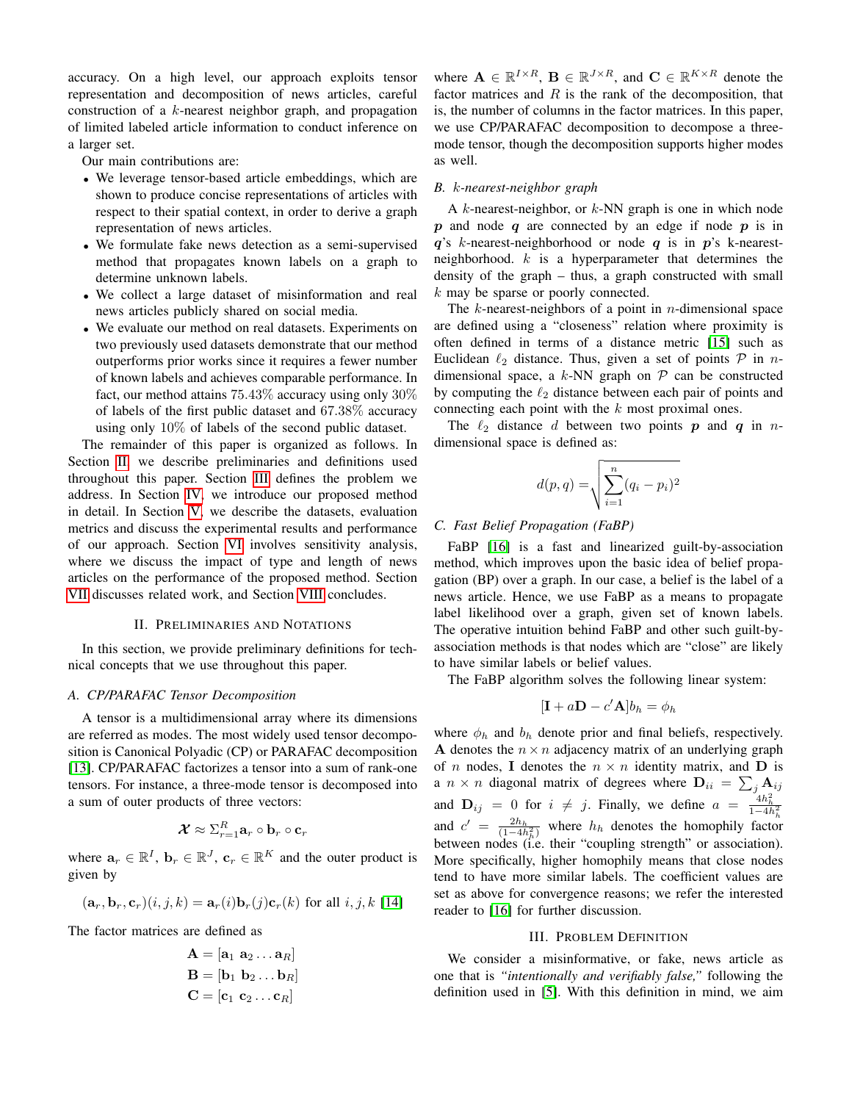accuracy. On a high level, our approach exploits tensor representation and decomposition of news articles, careful construction of a k-nearest neighbor graph, and propagation of limited labeled article information to conduct inference on a larger set.

Our main contributions are:

- We leverage tensor-based article embeddings, which are shown to produce concise representations of articles with respect to their spatial context, in order to derive a graph representation of news articles.
- We formulate fake news detection as a semi-supervised method that propagates known labels on a graph to determine unknown labels.
- We collect a large dataset of misinformation and real news articles publicly shared on social media.
- We evaluate our method on real datasets. Experiments on two previously used datasets demonstrate that our method outperforms prior works since it requires a fewer number of known labels and achieves comparable performance. In fact, our method attains  $75.43\%$  accuracy using only  $30\%$ of labels of the first public dataset and 67.38% accuracy using only 10% of labels of the second public dataset.

The remainder of this paper is organized as follows. In Section [II,](#page-1-0) we describe preliminaries and definitions used throughout this paper. Section [III](#page-1-1) defines the problem we address. In Section [IV,](#page-2-0) we introduce our proposed method in detail. In Section [V,](#page-3-0) we describe the datasets, evaluation metrics and discuss the experimental results and performance of our approach. Section [VI](#page-5-0) involves sensitivity analysis, where we discuss the impact of type and length of news articles on the performance of the proposed method. Section [VII](#page-6-0) discusses related work, and Section [VIII](#page-7-12) concludes.

# II. PRELIMINARIES AND NOTATIONS

<span id="page-1-0"></span>In this section, we provide preliminary definitions for technical concepts that we use throughout this paper.

# *A. CP/PARAFAC Tensor Decomposition*

A tensor is a multidimensional array where its dimensions are referred as modes. The most widely used tensor decomposition is Canonical Polyadic (CP) or PARAFAC decomposition [\[13\]](#page-7-13). CP/PARAFAC factorizes a tensor into a sum of rank-one tensors. For instance, a three-mode tensor is decomposed into a sum of outer products of three vectors:

$$
\pmb{\mathcal{X}} \approx \Sigma_{r=1}^R \mathbf{a}_r \circ \mathbf{b}_r \circ \mathbf{c}_r
$$

where  $\mathbf{a}_r \in \mathbb{R}^I$ ,  $\mathbf{b}_r \in \mathbb{R}^J$ ,  $\mathbf{c}_r \in \mathbb{R}^K$  and the outer product is given by

$$
(\mathbf{a}_r, \mathbf{b}_r, \mathbf{c}_r)(i, j, k) = \mathbf{a}_r(i)\mathbf{b}_r(j)\mathbf{c}_r(k)
$$
 for all  $i, j, k$  [14]

The factor matrices are defined as

$$
\mathbf{A} = [\mathbf{a}_1 \ \mathbf{a}_2 \dots \mathbf{a}_R]
$$

$$
\mathbf{B} = [\mathbf{b}_1 \ \mathbf{b}_2 \dots \mathbf{b}_R]
$$

$$
\mathbf{C} = [\mathbf{c}_1 \ \mathbf{c}_2 \dots \mathbf{c}_R]
$$

where  $\mathbf{A} \in \mathbb{R}^{I \times R}$ ,  $\mathbf{B} \in \mathbb{R}^{J \times R}$ , and  $\mathbf{C} \in \mathbb{R}^{K \times R}$  denote the factor matrices and  $R$  is the rank of the decomposition, that is, the number of columns in the factor matrices. In this paper, we use CP/PARAFAC decomposition to decompose a threemode tensor, though the decomposition supports higher modes as well.

### *B.* k*-nearest-neighbor graph*

A  $k$ -nearest-neighbor, or  $k$ -NN graph is one in which node  $p$  and node  $q$  are connected by an edge if node  $p$  is in  $q$ 's k-nearest-neighborhood or node  $q$  is in  $p$ 's k-nearestneighborhood.  $k$  is a hyperparameter that determines the density of the graph – thus, a graph constructed with small k may be sparse or poorly connected.

The  $k$ -nearest-neighbors of a point in *n*-dimensional space are defined using a "closeness" relation where proximity is often defined in terms of a distance metric [\[15\]](#page-7-15) such as Euclidean  $\ell_2$  distance. Thus, given a set of points  $\mathcal P$  in ndimensional space, a  $k$ -NN graph on  $P$  can be constructed by computing the  $\ell_2$  distance between each pair of points and connecting each point with the  $k$  most proximal ones.

The  $\ell_2$  distance d between two points p and q in ndimensional space is defined as:

$$
d(p,q) = \sqrt{\sum_{i=1}^{n} (q_i - p_i)^2}
$$

## *C. Fast Belief Propagation (FaBP)*

FaBP [\[16\]](#page-7-16) is a fast and linearized guilt-by-association method, which improves upon the basic idea of belief propagation (BP) over a graph. In our case, a belief is the label of a news article. Hence, we use FaBP as a means to propagate label likelihood over a graph, given set of known labels. The operative intuition behind FaBP and other such guilt-byassociation methods is that nodes which are "close" are likely to have similar labels or belief values.

The FaBP algorithm solves the following linear system:

$$
[\mathbf{I} + a\mathbf{D} - c'\mathbf{A}]b_h = \phi_h
$$

where  $\phi_h$  and  $b_h$  denote prior and final beliefs, respectively. A denotes the  $n \times n$  adjacency matrix of an underlying graph of *n* nodes, **I** denotes the  $n \times n$  identity matrix, and **D** is a  $n \times n$  diagonal matrix of degrees where  $\mathbf{D}_{ii} = \sum_j \mathbf{A}_{ij}$ and  $\mathbf{D}_{ij} = 0$  for  $i \neq j$ . Finally, we define  $a = \frac{4h_h^2}{1-4h_h^2}$ <br>and  $c' = \frac{2h_h}{(1-4h_h^2)}$  where  $h_h$  denotes the homophily factor between nodes (i.e. their "coupling strength" or association). More specifically, higher homophily means that close nodes tend to have more similar labels. The coefficient values are set as above for convergence reasons; we refer the interested reader to [\[16\]](#page-7-16) for further discussion.

### III. PROBLEM DEFINITION

<span id="page-1-1"></span>We consider a misinformative, or fake, news article as one that is *"intentionally and verifiably false,"* following the definition used in [\[5\]](#page-7-4). With this definition in mind, we aim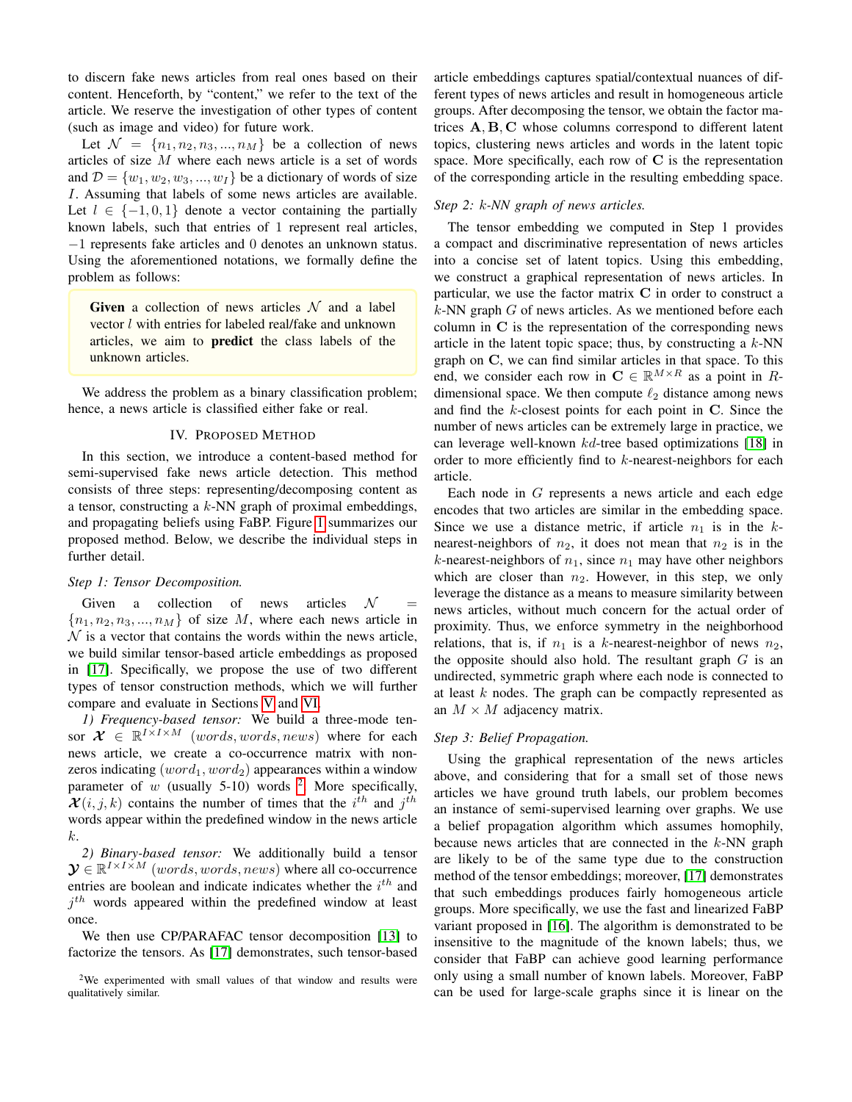to discern fake news articles from real ones based on their content. Henceforth, by "content," we refer to the text of the article. We reserve the investigation of other types of content (such as image and video) for future work.

Let  $\mathcal{N} = \{n_1, n_2, n_3, ..., n_M\}$  be a collection of news articles of size M where each news article is a set of words and  $\mathcal{D} = \{w_1, w_2, w_3, ..., w_I\}$  be a dictionary of words of size I. Assuming that labels of some news articles are available. Let  $l \in \{-1, 0, 1\}$  denote a vector containing the partially known labels, such that entries of 1 represent real articles, −1 represents fake articles and 0 denotes an unknown status. Using the aforementioned notations, we formally define the problem as follows:

Given a collection of news articles  $\mathcal N$  and a label vector l with entries for labeled real/fake and unknown articles, we aim to predict the class labels of the unknown articles.

We address the problem as a binary classification problem; hence, a news article is classified either fake or real.

# IV. PROPOSED METHOD

<span id="page-2-0"></span>In this section, we introduce a content-based method for semi-supervised fake news article detection. This method consists of three steps: representing/decomposing content as a tensor, constructing a  $k$ -NN graph of proximal embeddings, and propagating beliefs using FaBP. Figure [1](#page-0-1) summarizes our proposed method. Below, we describe the individual steps in further detail.

## *Step 1: Tensor Decomposition.*

Given a collection of news articles  $\mathcal N$  ${n_1, n_2, n_3, ..., n_M}$  of size M, where each news article in  $\mathcal N$  is a vector that contains the words within the news article, we build similar tensor-based article embeddings as proposed in [\[17\]](#page-7-17). Specifically, we propose the use of two different types of tensor construction methods, which we will further compare and evaluate in Sections [V](#page-3-0) and [VI.](#page-5-0)

*1) Frequency-based tensor:* We build a three-mode tensor  $\mathcal{X} \in \mathbb{R}^{I \times I \times M}$  (words, words, news) where for each news article, we create a co-occurrence matrix with nonzeros indicating  $(word_1, word_2)$  appearances within a window parameter of w (usually 5-10) words <sup>[2](#page-2-1)</sup>. More specifically,  $\mathcal{X}(i, j, k)$  contains the number of times that the  $i^{th}$  and  $j^{th}$ words appear within the predefined window in the news article k.

*2) Binary-based tensor:* We additionally build a tensor  $\mathbf{\mathcal{Y}} \in \mathbb{R}^{I \times I \times M}$  (words, words, news) where all co-occurrence entries are boolean and indicate indicates whether the  $i<sup>th</sup>$  and  $j<sup>th</sup>$  words appeared within the predefined window at least once.

We then use CP/PARAFAC tensor decomposition [\[13\]](#page-7-13) to factorize the tensors. As [\[17\]](#page-7-17) demonstrates, such tensor-based article embeddings captures spatial/contextual nuances of different types of news articles and result in homogeneous article groups. After decomposing the tensor, we obtain the factor matrices A, B, C whose columns correspond to different latent topics, clustering news articles and words in the latent topic space. More specifically, each row of  $C$  is the representation of the corresponding article in the resulting embedding space.

# *Step 2:* k*-NN graph of news articles.*

The tensor embedding we computed in Step 1 provides a compact and discriminative representation of news articles into a concise set of latent topics. Using this embedding, we construct a graphical representation of news articles. In particular, we use the factor matrix C in order to construct a  $k$ -NN graph  $G$  of news articles. As we mentioned before each column in C is the representation of the corresponding news article in the latent topic space; thus, by constructing a  $k$ -NN graph on C, we can find similar articles in that space. To this end, we consider each row in  $C \in \mathbb{R}^{M \times R}$  as a point in Rdimensional space. We then compute  $\ell_2$  distance among news and find the k-closest points for each point in C. Since the number of news articles can be extremely large in practice, we can leverage well-known kd-tree based optimizations [\[18\]](#page-7-18) in order to more efficiently find to k-nearest-neighbors for each article.

Each node in G represents a news article and each edge encodes that two articles are similar in the embedding space. Since we use a distance metric, if article  $n_1$  is in the knearest-neighbors of  $n_2$ , it does not mean that  $n_2$  is in the k-nearest-neighbors of  $n_1$ , since  $n_1$  may have other neighbors which are closer than  $n_2$ . However, in this step, we only leverage the distance as a means to measure similarity between news articles, without much concern for the actual order of proximity. Thus, we enforce symmetry in the neighborhood relations, that is, if  $n_1$  is a k-nearest-neighbor of news  $n_2$ , the opposite should also hold. The resultant graph  $G$  is an undirected, symmetric graph where each node is connected to at least k nodes. The graph can be compactly represented as an  $M \times M$  adjacency matrix.

#### *Step 3: Belief Propagation.*

Using the graphical representation of the news articles above, and considering that for a small set of those news articles we have ground truth labels, our problem becomes an instance of semi-supervised learning over graphs. We use a belief propagation algorithm which assumes homophily, because news articles that are connected in the  $k$ -NN graph are likely to be of the same type due to the construction method of the tensor embeddings; moreover, [\[17\]](#page-7-17) demonstrates that such embeddings produces fairly homogeneous article groups. More specifically, we use the fast and linearized FaBP variant proposed in [\[16\]](#page-7-16). The algorithm is demonstrated to be insensitive to the magnitude of the known labels; thus, we consider that FaBP can achieve good learning performance only using a small number of known labels. Moreover, FaBP can be used for large-scale graphs since it is linear on the

<span id="page-2-1"></span><sup>2</sup>We experimented with small values of that window and results were qualitatively similar.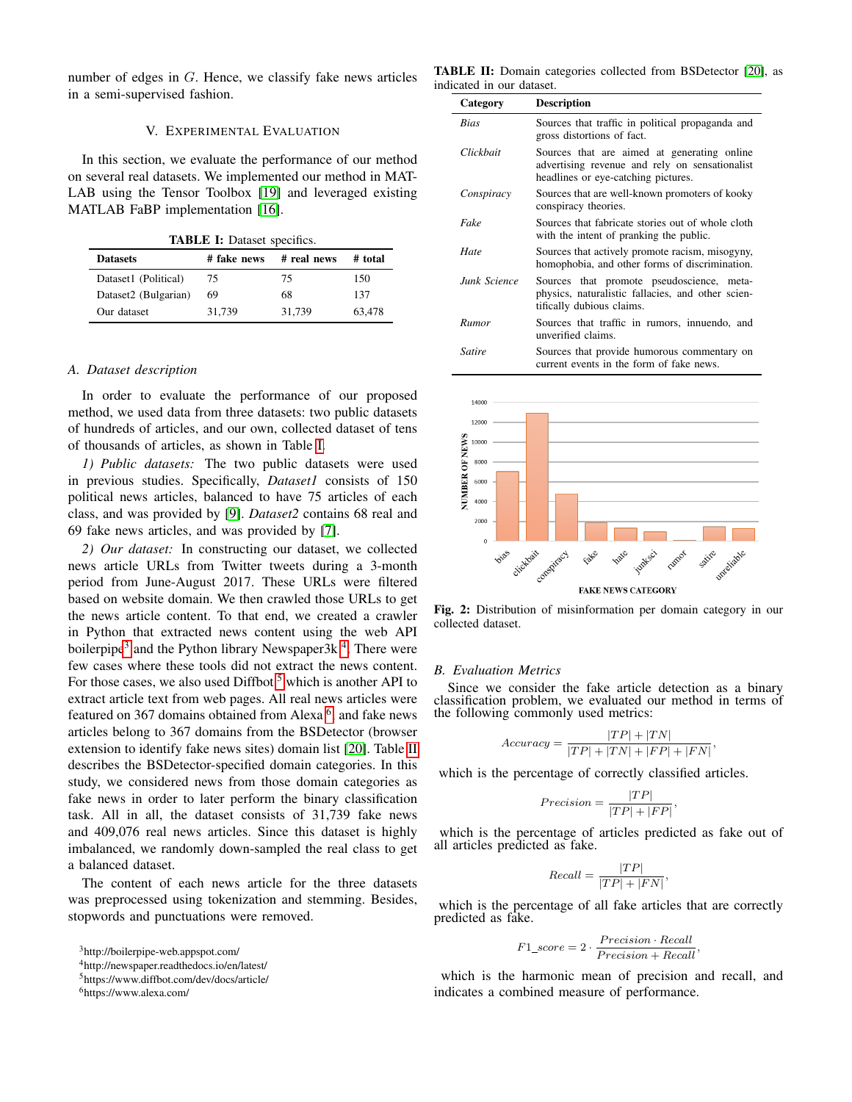number of edges in G. Hence, we classify fake news articles in a semi-supervised fashion.

# V. EXPERIMENTAL EVALUATION

<span id="page-3-0"></span>In this section, we evaluate the performance of our method on several real datasets. We implemented our method in MAT-LAB using the Tensor Toolbox [\[19\]](#page-7-19) and leveraged existing MATLAB FaBP implementation [\[16\]](#page-7-16).

TABLE I: Dataset specifics.

<span id="page-3-1"></span>

| <b>Datasets</b>      | # fake news | # real news | # total |
|----------------------|-------------|-------------|---------|
| Dataset1 (Political) | 75          | 75          | 150     |
| Dataset2 (Bulgarian) | 69          | 68          | 137     |
| Our dataset          | 31.739      | 31,739      | 63,478  |

#### *A. Dataset description*

In order to evaluate the performance of our proposed method, we used data from three datasets: two public datasets of hundreds of articles, and our own, collected dataset of tens of thousands of articles, as shown in Table [I.](#page-3-1)

*1) Public datasets:* The two public datasets were used in previous studies. Specifically, *Dataset1* consists of 150 political news articles, balanced to have 75 articles of each class, and was provided by [\[9\]](#page-7-8). *Dataset2* contains 68 real and 69 fake news articles, and was provided by [\[7\]](#page-7-6).

*2) Our dataset:* In constructing our dataset, we collected news article URLs from Twitter tweets during a 3-month period from June-August 2017. These URLs were filtered based on website domain. We then crawled those URLs to get the news article content. To that end, we created a crawler in Python that extracted news content using the web API boilerpipe<sup>[3](#page-3-2)</sup> and the Python library Newspaper3k<sup>[4](#page-3-3)</sup>. There were few cases where these tools did not extract the news content. For those cases, we also used Diffbot  $5$  which is another API to extract article text from web pages. All real news articles were featured on 3[6](#page-3-5)7 domains obtained from Alexa <sup>6</sup>, and fake news articles belong to 367 domains from the BSDetector (browser extension to identify fake news sites) domain list [\[20\]](#page-7-20). Table [II](#page-3-6) describes the BSDetector-specified domain categories. In this study, we considered news from those domain categories as fake news in order to later perform the binary classification task. All in all, the dataset consists of 31,739 fake news and 409,076 real news articles. Since this dataset is highly imbalanced, we randomly down-sampled the real class to get a balanced dataset.

The content of each news article for the three datasets was preprocessed using tokenization and stemming. Besides, stopwords and punctuations were removed.

<span id="page-3-2"></span><sup>3</sup>http://boilerpipe-web.appspot.com/

<span id="page-3-5"></span><sup>6</sup>https://www.alexa.com/

<span id="page-3-6"></span>TABLE II: Domain categories collected from BSDetector [\[20\]](#page-7-20), as indicated in our dataset.

| Category     | <b>Description</b>                                                                                                                   |
|--------------|--------------------------------------------------------------------------------------------------------------------------------------|
| Rias         | Sources that traffic in political propaganda and<br>gross distortions of fact.                                                       |
| Clickbait    | Sources that are aimed at generating online<br>advertising revenue and rely on sensationalist<br>headlines or eye-catching pictures. |
| Conspiracy   | Sources that are well-known promoters of kooky<br>conspiracy theories.                                                               |
| Fake         | Sources that fabricate stories out of whole cloth<br>with the intent of pranking the public.                                         |
| Hate         | Sources that actively promote racism, misogyny,<br>homophobia, and other forms of discrimination.                                    |
| Junk Science | Sources that promote pseudoscience, meta-<br>physics, naturalistic fallacies, and other scien-<br>tifically dubious claims.          |
| Rumor        | Sources that traffic in rumors, innuendo, and<br>unverified claims.                                                                  |
| Satire       | Sources that provide humorous commentary on<br>current events in the form of fake news.                                              |



Fig. 2: Distribution of misinformation per domain category in our collected dataset.

## *B. Evaluation Metrics*

Since we consider the fake article detection as a binary classification problem, we evaluated our method in terms of the following commonly used metrics:

$$
Accuracy = \frac{|TP| + |TN|}{|TP| + |TN| + |FP| + |FN|},
$$

which is the percentage of correctly classified articles.

$$
Precision = \frac{|TP|}{|TP| + |FP|},
$$

which is the percentage of articles predicted as fake out of all articles predicted as fake.

$$
Recall = \frac{|TP|}{|TP| + |FN|},
$$

which is the percentage of all fake articles that are correctly predicted as fake.

$$
F1\_score = 2 \cdot \frac{Precision \cdot Recall}{Precision + Recall},
$$

which is the harmonic mean of precision and recall, and indicates a combined measure of performance.

<span id="page-3-3"></span><sup>4</sup>http://newspaper.readthedocs.io/en/latest/

<span id="page-3-4"></span><sup>5</sup>https://www.diffbot.com/dev/docs/article/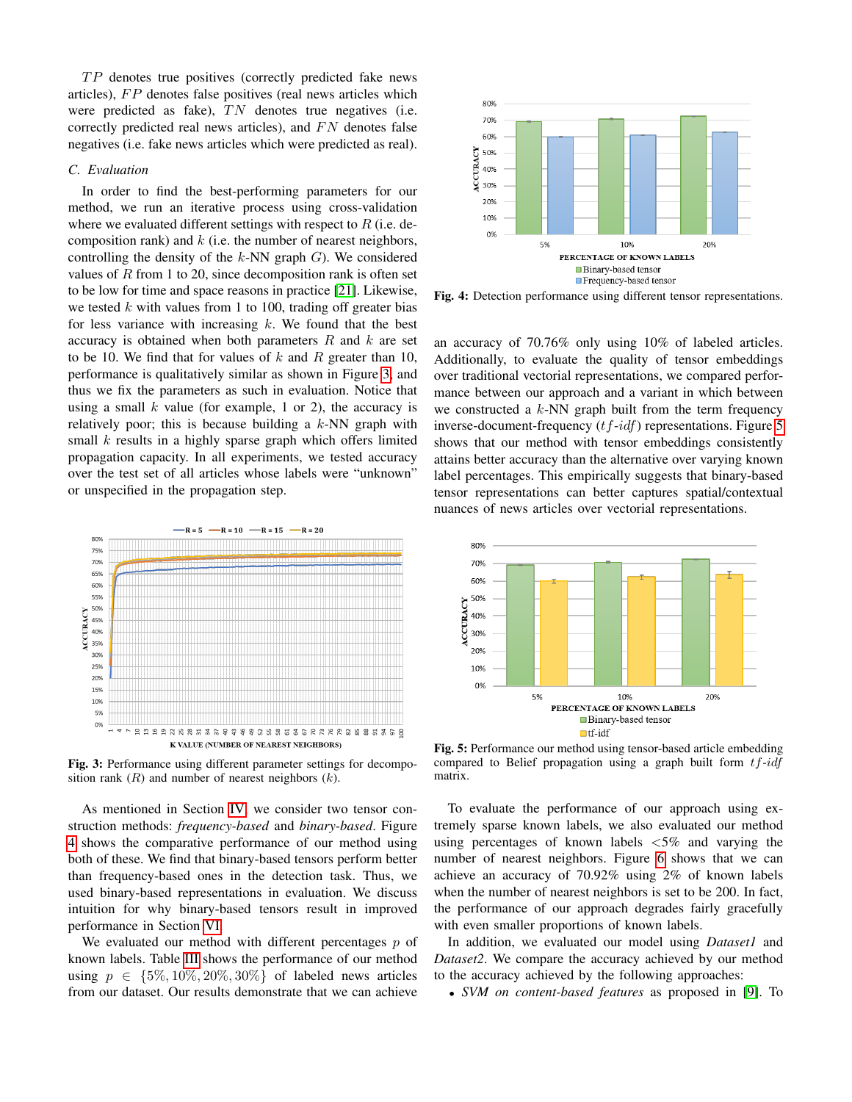$TP$  denotes true positives (correctly predicted fake news articles),  $FP$  denotes false positives (real news articles which were predicted as fake),  $TN$  denotes true negatives (i.e. correctly predicted real news articles), and  $FN$  denotes false negatives (i.e. fake news articles which were predicted as real).

# *C. Evaluation*

In order to find the best-performing parameters for our method, we run an iterative process using cross-validation where we evaluated different settings with respect to  $R$  (i.e. decomposition rank) and  $k$  (i.e. the number of nearest neighbors, controlling the density of the  $k$ -NN graph  $G$ ). We considered values of  $R$  from 1 to 20, since decomposition rank is often set to be low for time and space reasons in practice [\[21\]](#page-7-21). Likewise, we tested  $k$  with values from 1 to 100, trading off greater bias for less variance with increasing  $k$ . We found that the best accuracy is obtained when both parameters  $R$  and  $k$  are set to be 10. We find that for values of  $k$  and  $R$  greater than 10, performance is qualitatively similar as shown in Figure [3,](#page-4-0) and thus we fix the parameters as such in evaluation. Notice that using a small  $k$  value (for example, 1 or 2), the accuracy is relatively poor; this is because building a  $k$ -NN graph with small  $k$  results in a highly sparse graph which offers limited propagation capacity. In all experiments, we tested accuracy over the test set of all articles whose labels were "unknown" or unspecified in the propagation step.

<span id="page-4-0"></span>

Fig. 3: Performance using different parameter settings for decomposition rank  $(R)$  and number of nearest neighbors  $(k)$ .

As mentioned in Section [IV,](#page-2-0) we consider two tensor construction methods: *frequency-based* and *binary-based*. Figure [4](#page-4-1) shows the comparative performance of our method using both of these. We find that binary-based tensors perform better than frequency-based ones in the detection task. Thus, we used binary-based representations in evaluation. We discuss intuition for why binary-based tensors result in improved performance in Section [VI.](#page-5-0)

We evaluated our method with different percentages  $p$  of known labels. Table [III](#page-5-1) shows the performance of our method using  $p \in \{5\%, 10\%, 20\%, 30\%\}$  of labeled news articles from our dataset. Our results demonstrate that we can achieve

<span id="page-4-1"></span>

Fig. 4: Detection performance using different tensor representations.

an accuracy of 70.76% only using 10% of labeled articles. Additionally, to evaluate the quality of tensor embeddings over traditional vectorial representations, we compared performance between our approach and a variant in which between we constructed a  $k$ -NN graph built from the term frequency inverse-document-frequency  $(t f - idf)$  representations. Figure [5](#page-4-2) shows that our method with tensor embeddings consistently attains better accuracy than the alternative over varying known label percentages. This empirically suggests that binary-based tensor representations can better captures spatial/contextual nuances of news articles over vectorial representations.

<span id="page-4-2"></span>

Fig. 5: Performance our method using tensor-based article embedding compared to Belief propagation using a graph built form  $tf-idf$ matrix.

To evaluate the performance of our approach using extremely sparse known labels, we also evaluated our method using percentages of known labels <5% and varying the number of nearest neighbors. Figure [6](#page-5-2) shows that we can achieve an accuracy of 70.92% using 2% of known labels when the number of nearest neighbors is set to be 200. In fact, the performance of our approach degrades fairly gracefully with even smaller proportions of known labels.

In addition, we evaluated our model using *Dataset1* and *Dataset2*. We compare the accuracy achieved by our method to the accuracy achieved by the following approaches:

• *SVM on content-based features* as proposed in [\[9\]](#page-7-8). To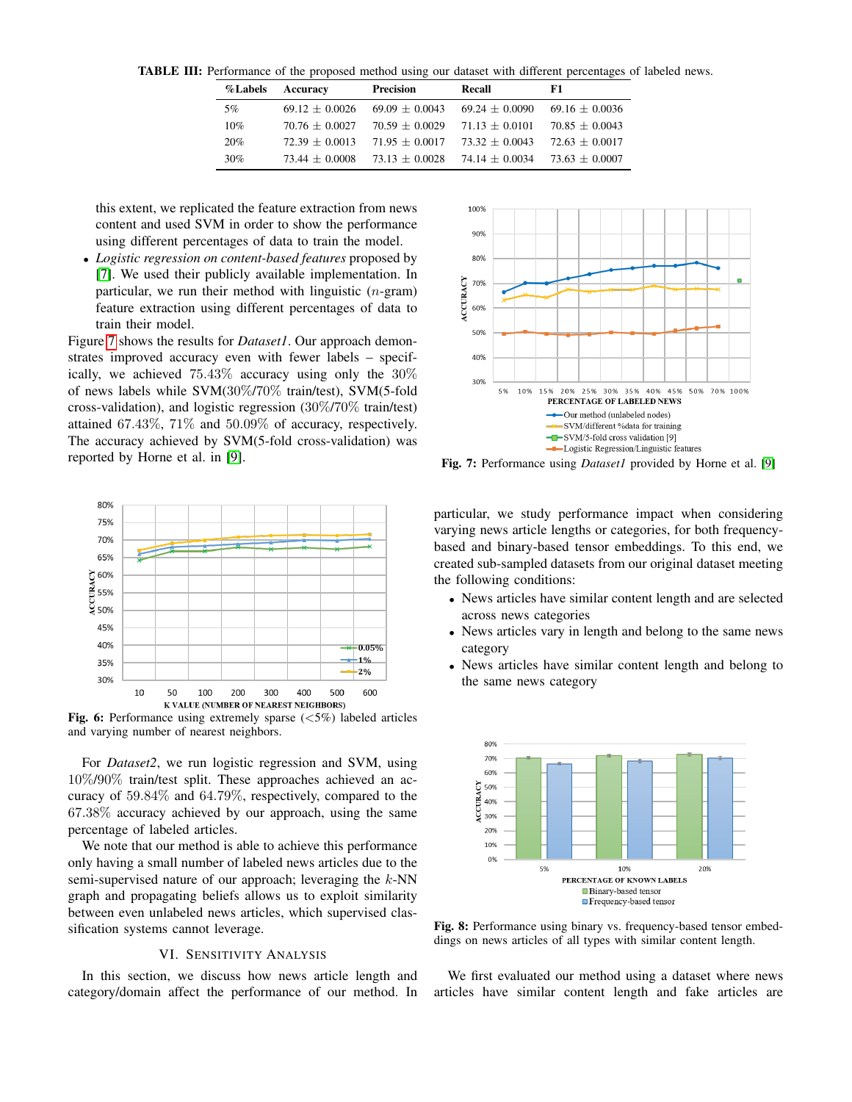<span id="page-5-1"></span>TABLE III: Performance of the proposed method using our dataset with different percentages of labeled news.

| <b>%Labels</b> | Accuracy         | <b>Precision</b> | Recall           | F1               |
|----------------|------------------|------------------|------------------|------------------|
| 5%             | $69.12 + 0.0026$ | $69.09 + 0.0043$ | $69.24 + 0.0090$ | $69.16 + 0.0036$ |
| 10%            | $70.76 + 0.0027$ | $70.59 + 0.0029$ | $71.13 + 0.0101$ | $70.85 + 0.0043$ |
| 20%            | $72.39 + 0.0013$ | $71.95 + 0.0017$ | $73.32 + 0.0043$ | $72.63 + 0.0017$ |
| 30%            | $73.44 + 0.0008$ | $73.13 + 0.0028$ | $74.14 + 0.0034$ | $73.63 + 0.0007$ |

this extent, we replicated the feature extraction from news content and used SVM in order to show the performance using different percentages of data to train the model.

• *Logistic regression on content-based features* proposed by [\[7\]](#page-7-6). We used their publicly available implementation. In particular, we run their method with linguistic  $(n$ -gram) feature extraction using different percentages of data to train their model.

Figure [7](#page-5-3) shows the results for *Dataset1*. Our approach demonstrates improved accuracy even with fewer labels – specifically, we achieved 75.43% accuracy using only the 30% of news labels while SVM(30%/70% train/test), SVM(5-fold cross-validation), and logistic regression (30%/70% train/test) attained 67.43%, 71% and 50.09% of accuracy, respectively. The accuracy achieved by SVM(5-fold cross-validation) was reported by Horne et al. in [\[9\]](#page-7-8).

<span id="page-5-2"></span>

**Fig. 6:** Performance using extremely sparse  $(<5\%)$  labeled articles and varying number of nearest neighbors.

For *Dataset2*, we run logistic regression and SVM, using 10%/90% train/test split. These approaches achieved an accuracy of 59.84% and 64.79%, respectively, compared to the 67.38% accuracy achieved by our approach, using the same percentage of labeled articles.

We note that our method is able to achieve this performance only having a small number of labeled news articles due to the semi-supervised nature of our approach; leveraging the  $k$ -NN graph and propagating beliefs allows us to exploit similarity between even unlabeled news articles, which supervised classification systems cannot leverage.

# VI. SENSITIVITY ANALYSIS

<span id="page-5-0"></span>In this section, we discuss how news article length and category/domain affect the performance of our method. In

<span id="page-5-3"></span>

Fig. 7: Performance using *Dataset1* provided by Horne et al. [\[9\]](#page-7-8)

particular, we study performance impact when considering varying news article lengths or categories, for both frequencybased and binary-based tensor embeddings. To this end, we created sub-sampled datasets from our original dataset meeting the following conditions:

- News articles have similar content length and are selected across news categories
- News articles vary in length and belong to the same news category
- News articles have similar content length and belong to the same news category

<span id="page-5-4"></span>

Fig. 8: Performance using binary vs. frequency-based tensor embeddings on news articles of all types with similar content length.

We first evaluated our method using a dataset where news articles have similar content length and fake articles are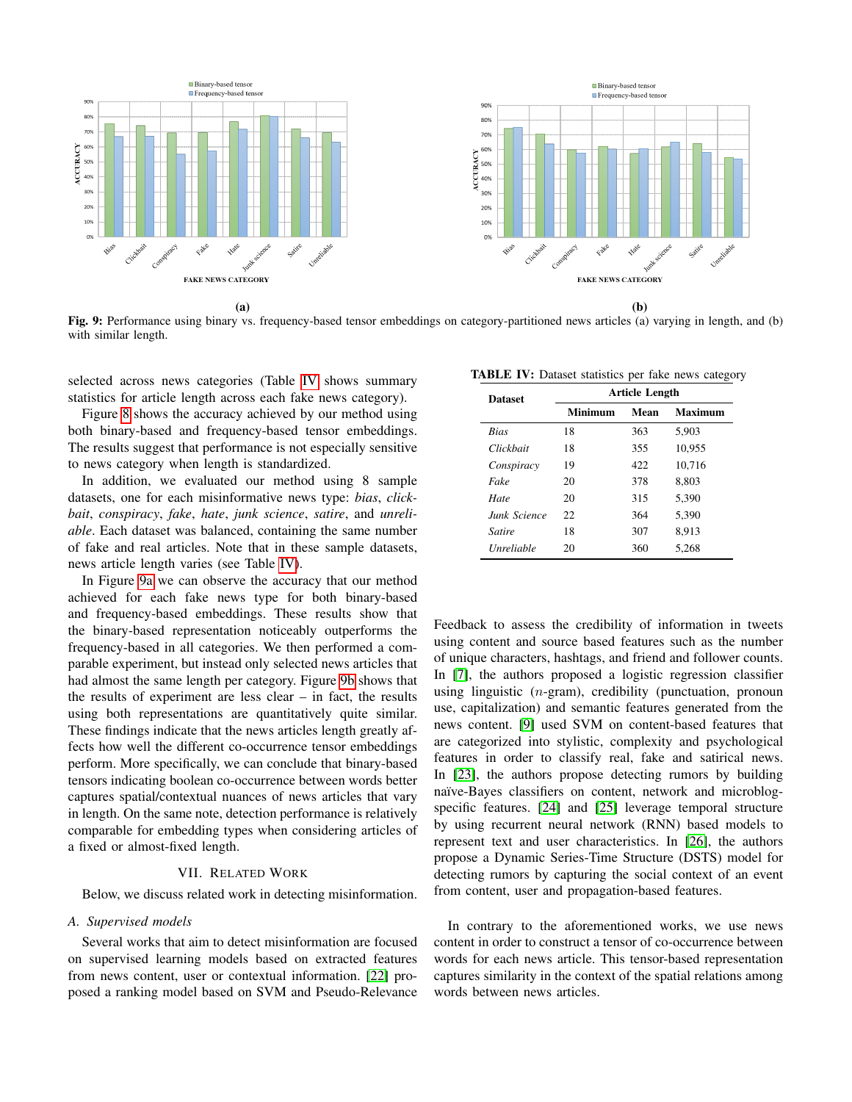<span id="page-6-2"></span>

 $(a)$  (b)

Fig. 9: Performance using binary vs. frequency-based tensor embeddings on category-partitioned news articles (a) varying in length, and (b) with similar length.

selected across news categories (Table [IV](#page-6-1) shows summary statistics for article length across each fake news category).

Figure [8](#page-5-4) shows the accuracy achieved by our method using both binary-based and frequency-based tensor embeddings. The results suggest that performance is not especially sensitive to news category when length is standardized.

In addition, we evaluated our method using 8 sample datasets, one for each misinformative news type: *bias*, *clickbait*, *conspiracy*, *fake*, *hate*, *junk science*, *satire*, and *unreliable*. Each dataset was balanced, containing the same number of fake and real articles. Note that in these sample datasets, news article length varies (see Table [IV\)](#page-6-1).

In Figure [9a](#page-6-2) we can observe the accuracy that our method achieved for each fake news type for both binary-based and frequency-based embeddings. These results show that the binary-based representation noticeably outperforms the frequency-based in all categories. We then performed a comparable experiment, but instead only selected news articles that had almost the same length per category. Figure [9b](#page-6-2) shows that the results of experiment are less clear – in fact, the results using both representations are quantitatively quite similar. These findings indicate that the news articles length greatly affects how well the different co-occurrence tensor embeddings perform. More specifically, we can conclude that binary-based tensors indicating boolean co-occurrence between words better captures spatial/contextual nuances of news articles that vary in length. On the same note, detection performance is relatively comparable for embedding types when considering articles of a fixed or almost-fixed length.

# VII. RELATED WORK

<span id="page-6-0"></span>Below, we discuss related work in detecting misinformation.

### *A. Supervised models*

Several works that aim to detect misinformation are focused on supervised learning models based on extracted features from news content, user or contextual information. [\[22\]](#page-7-22) proposed a ranking model based on SVM and Pseudo-Relevance

<span id="page-6-1"></span>

|                | TABLE IV: Dataset statistics per fake news category |
|----------------|-----------------------------------------------------|
| <b>Dataset</b> | <b>Article Length</b>                               |

|  | <b>Dataset</b>    | AT HUIT LIEITZIII |      |                |
|--|-------------------|-------------------|------|----------------|
|  |                   | Minimum           | Mean | <b>Maximum</b> |
|  | <b>Bias</b>       | 18                | 363  | 5,903          |
|  | Clickbait         | 18                | 355  | 10,955         |
|  | Conspiracy        | 19                | 422  | 10,716         |
|  | Fake              | 20                | 378  | 8,803          |
|  | Hate              | 20                | 315  | 5.390          |
|  | Junk Science      | 22.               | 364  | 5.390          |
|  | Satire            | 18                | 307  | 8.913          |
|  | <b>Unreliable</b> | 20                | 360  | 5.268          |
|  |                   |                   |      |                |

Feedback to assess the credibility of information in tweets using content and source based features such as the number of unique characters, hashtags, and friend and follower counts. In [\[7\]](#page-7-6), the authors proposed a logistic regression classifier using linguistic  $(n$ -gram), credibility (punctuation, pronoun use, capitalization) and semantic features generated from the news content. [\[9\]](#page-7-8) used SVM on content-based features that are categorized into stylistic, complexity and psychological features in order to classify real, fake and satirical news. In [\[23\]](#page-7-23), the authors propose detecting rumors by building naïve-Bayes classifiers on content, network and microblogspecific features. [\[24\]](#page-7-24) and [\[25\]](#page-7-25) leverage temporal structure by using recurrent neural network (RNN) based models to represent text and user characteristics. In [\[26\]](#page-7-26), the authors propose a Dynamic Series-Time Structure (DSTS) model for detecting rumors by capturing the social context of an event from content, user and propagation-based features.

In contrary to the aforementioned works, we use news content in order to construct a tensor of co-occurrence between words for each news article. This tensor-based representation captures similarity in the context of the spatial relations among words between news articles.